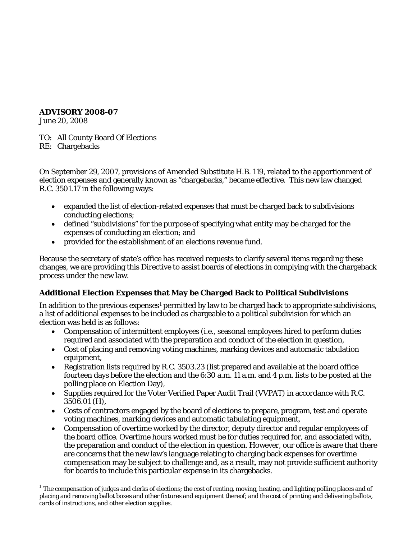#### **ADVISORY 2008-07**

June 20, 2008

TO: All County Board Of Elections RE: Chargebacks

On September 29, 2007, provisions of Amended Substitute H.B. 119, related to the apportionment of election expenses and generally known as "chargebacks," became effective. This new law changed R.C. 3501.17 in the following ways:

- expanded the list of election-related expenses that must be charged back to subdivisions conducting elections;
- defined "subdivisions" for the purpose of specifying what entity may be charged for the expenses of conducting an election; and
- provided for the establishment of an elections revenue fund.

Because the secretary of state's office has received requests to clarify several items regarding these changes, we are providing this Directive to assist boards of elections in complying with the chargeback process under the new law.

# **Additional Election Expenses that May be Charged Back to Political Subdivisions**

In addition to the previous expenses<sup>[1](#page-0-0)</sup> permitted by law to be charged back to appropriate subdivisions, a list of additional expenses to be included as chargeable to a political subdivision for which an election was held is as follows:

- Compensation of intermittent employees (i.e., seasonal employees hired to perform duties required and associated with the preparation and conduct of the election in question,
- Cost of placing and removing voting machines, marking devices and automatic tabulation equipment,
- Registration lists required by R.C. 3503.23 (list prepared and available at the board office fourteen days before the election and the 6:30 a.m. 11 a.m. and 4 p.m. lists to be posted at the polling place on Election Day),
- Supplies required for the Voter Verified Paper Audit Trail (VVPAT) in accordance with R.C. 3506.01 (H),
- Costs of contractors engaged by the board of elections to prepare, program, test and operate voting machines, marking devices and automatic tabulating equipment,
- Compensation of overtime worked by the director, deputy director and regular employees of the board office. Overtime hours worked must be for duties required for, and associated with, the preparation and conduct of the election in question. However, our office is aware that there are concerns that the new law's language relating to charging back expenses for overtime compensation may be subject to challenge and, as a result, may not provide sufficient authority for boards to include this particular expense in its chargebacks.

<span id="page-0-0"></span> $1$  The compensation of judges and clerks of elections; the cost of renting, moving, heating, and lighting polling places and of placing and removing ballot boxes and other fixtures and equipment thereof; and the cost of printing and delivering ballots, cards of instructions, and other election supplies.